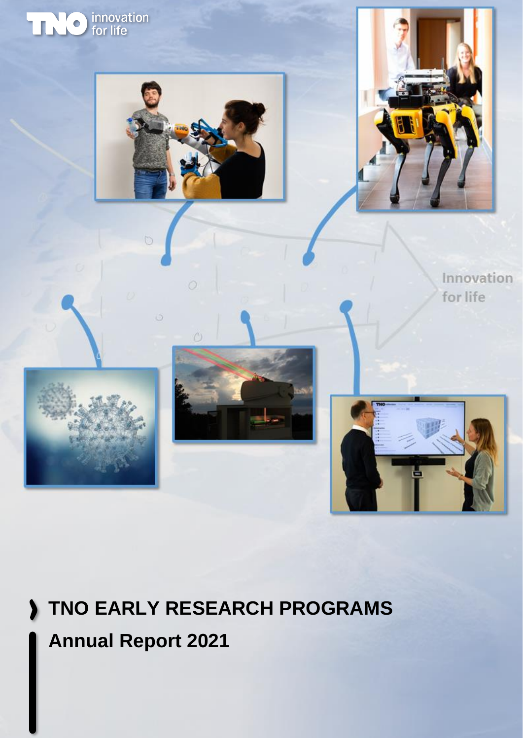

# **TNO EARLY RESEARCH PROGRAMS**

## **Annual Report 2021**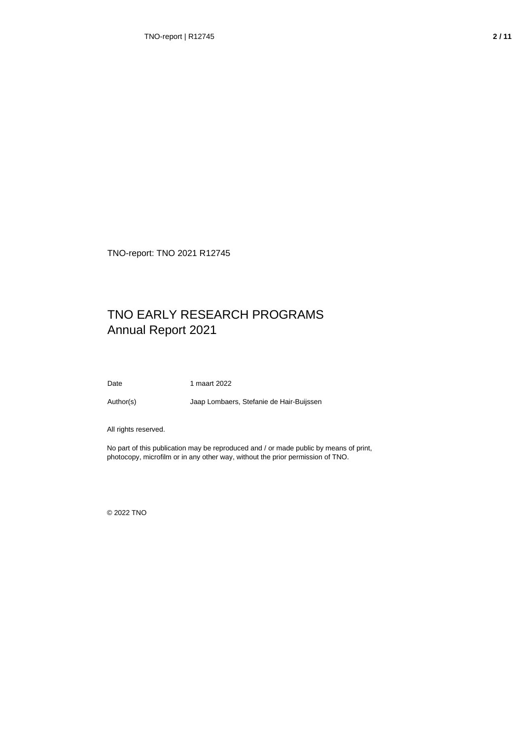TNO-report: TNO 2021 R12745

#### TNO EARLY RESEARCH PROGRAMS Annual Report 2021

Date 1 maart 2022

Author(s) Jaap Lombaers, Stefanie de Hair-Buijssen

All rights reserved.

No part of this publication may be reproduced and / or made public by means of print, photocopy, microfilm or in any other way, without the prior permission of TNO.

© 2022 TNO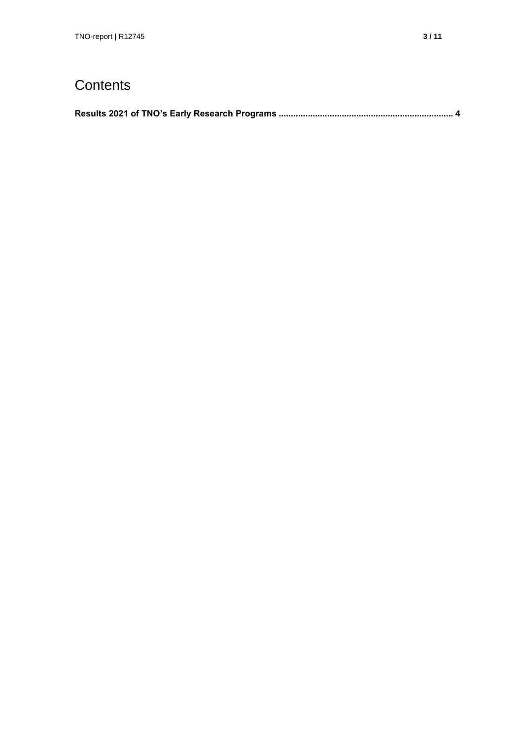### **Contents**

|--|--|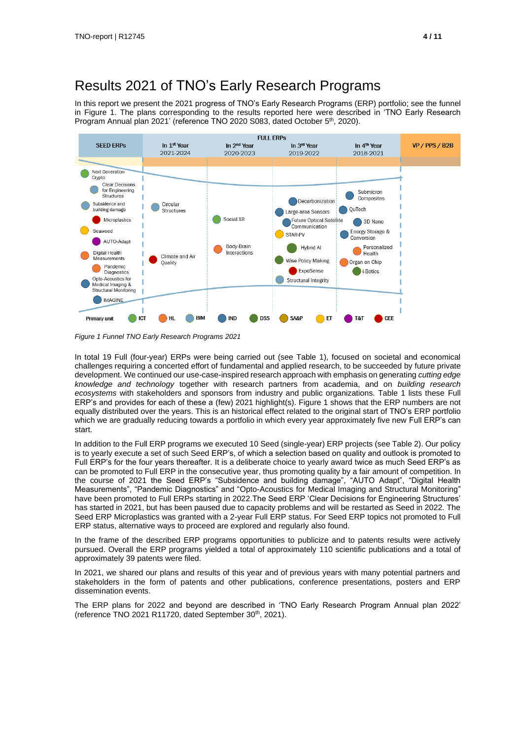#### Results 2021 of TNO's Early Research Programs

In this report we present the 2021 progress of TNO's Early Research Programs (ERP) portfolio; see the funnel in Figure 1. The plans corresponding to the results reported here were described in 'TNO Early Research Program Annual plan 2021' (reference TNO 2020 S083, dated October 5<sup>th</sup>, 2020).



*Figure 1 Funnel TNO Early Research Programs 2021*

In total 19 Full (four-year) ERPs were being carried out (see Table 1), focused on societal and economical challenges requiring a concerted effort of fundamental and applied research, to be succeeded by future private development. We continued our use-case-inspired research approach with emphasis on generating *cutting edge knowledge and technology* together with research partners from academia, and on *building research ecosystems* with stakeholders and sponsors from industry and public organizations. Table 1 lists these Full ERP's and provides for each of these a (few) 2021 highlight(s). Figure 1 shows that the ERP numbers are not equally distributed over the years. This is an historical effect related to the original start of TNO's ERP portfolio which we are gradually reducing towards a portfolio in which every year approximately five new Full ERP's can start.

In addition to the Full ERP programs we executed 10 Seed (single-year) ERP projects (see Table 2). Our policy is to yearly execute a set of such Seed ERP's, of which a selection based on quality and outlook is promoted to Full ERP's for the four years thereafter. It is a deliberate choice to yearly award twice as much Seed ERP's as can be promoted to Full ERP in the consecutive year, thus promoting quality by a fair amount of competition. In the course of 2021 the Seed ERP's "Subsidence and building damage", "AUTO Adapt", "Digital Health Measurements", "Pandemic Diagnostics" and "Opto-Acoustics for Medical Imaging and Structural Monitoring" have been promoted to Full ERPs starting in 2022. The Seed ERP 'Clear Decisions for Engineering Structures' has started in 2021, but has been paused due to capacity problems and will be restarted as Seed in 2022. The Seed ERP Microplastics was granted with a 2-year Full ERP status. For Seed ERP topics not promoted to Full ERP status, alternative ways to proceed are explored and regularly also found.

In the frame of the described ERP programs opportunities to publicize and to patents results were actively pursued. Overall the ERP programs yielded a total of approximately 110 scientific publications and a total of approximately 39 patents were filed.

In 2021, we shared our plans and results of this year and of previous years with many potential partners and stakeholders in the form of patents and other publications, conference presentations, posters and ERP dissemination events.

The ERP plans for 2022 and beyond are described in 'TNO Early Research Program Annual plan 2022' (reference TNO 2021 R11720, dated September 30<sup>th</sup>, 2021).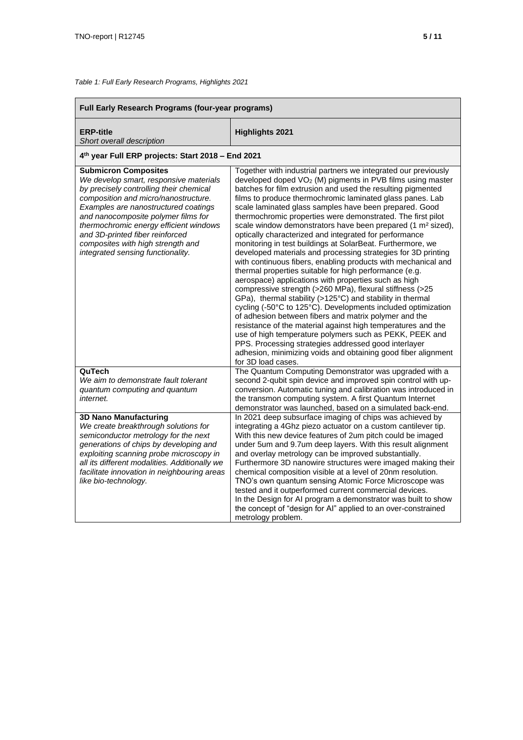*Table 1: Full Early Research Programs, Highlights 2021*

| Full Early Research Programs (four-year programs)                                                                                                                                                                                                                                                                                                                                              |                                                                                                                                                                                                                                                                                                                                                                                                                                                                                                                                                                                                                                                                                                                                                                                                                                                                                                                                                                                                                                                                                                                                                                                                                                                                                                                                                                                  |
|------------------------------------------------------------------------------------------------------------------------------------------------------------------------------------------------------------------------------------------------------------------------------------------------------------------------------------------------------------------------------------------------|----------------------------------------------------------------------------------------------------------------------------------------------------------------------------------------------------------------------------------------------------------------------------------------------------------------------------------------------------------------------------------------------------------------------------------------------------------------------------------------------------------------------------------------------------------------------------------------------------------------------------------------------------------------------------------------------------------------------------------------------------------------------------------------------------------------------------------------------------------------------------------------------------------------------------------------------------------------------------------------------------------------------------------------------------------------------------------------------------------------------------------------------------------------------------------------------------------------------------------------------------------------------------------------------------------------------------------------------------------------------------------|
| <b>ERP-title</b><br>Short overall description                                                                                                                                                                                                                                                                                                                                                  | <b>Highlights 2021</b>                                                                                                                                                                                                                                                                                                                                                                                                                                                                                                                                                                                                                                                                                                                                                                                                                                                                                                                                                                                                                                                                                                                                                                                                                                                                                                                                                           |
| 4th year Full ERP projects: Start 2018 - End 2021                                                                                                                                                                                                                                                                                                                                              |                                                                                                                                                                                                                                                                                                                                                                                                                                                                                                                                                                                                                                                                                                                                                                                                                                                                                                                                                                                                                                                                                                                                                                                                                                                                                                                                                                                  |
| <b>Submicron Composites</b><br>We develop smart, responsive materials<br>by precisely controlling their chemical<br>composition and micro/nanostructure.<br>Examples are nanostructured coatings<br>and nanocomposite polymer films for<br>thermochromic energy efficient windows<br>and 3D-printed fiber reinforced<br>composites with high strength and<br>integrated sensing functionality. | Together with industrial partners we integrated our previously<br>developed doped VO <sub>2</sub> (M) pigments in PVB films using master<br>batches for film extrusion and used the resulting pigmented<br>films to produce thermochromic laminated glass panes. Lab<br>scale laminated glass samples have been prepared. Good<br>thermochromic properties were demonstrated. The first pilot<br>scale window demonstrators have been prepared (1 m <sup>2</sup> sized),<br>optically characterized and integrated for performance<br>monitoring in test buildings at SolarBeat. Furthermore, we<br>developed materials and processing strategies for 3D printing<br>with continuous fibers, enabling products with mechanical and<br>thermal properties suitable for high performance (e.g.<br>aerospace) applications with properties such as high<br>compressive strength (>260 MPa), flexural stiffness (>25<br>GPa), thermal stability (>125°C) and stability in thermal<br>cycling (-50°C to 125°C). Developments included optimization<br>of adhesion between fibers and matrix polymer and the<br>resistance of the material against high temperatures and the<br>use of high temperature polymers such as PEKK, PEEK and<br>PPS. Processing strategies addressed good interlayer<br>adhesion, minimizing voids and obtaining good fiber alignment<br>for 3D load cases. |
| QuTech<br>We aim to demonstrate fault tolerant<br>quantum computing and quantum<br>internet.                                                                                                                                                                                                                                                                                                   | The Quantum Computing Demonstrator was upgraded with a<br>second 2-qubit spin device and improved spin control with up-<br>conversion. Automatic tuning and calibration was introduced in<br>the transmon computing system. A first Quantum Internet<br>demonstrator was launched, based on a simulated back-end.                                                                                                                                                                                                                                                                                                                                                                                                                                                                                                                                                                                                                                                                                                                                                                                                                                                                                                                                                                                                                                                                |
| <b>3D Nano Manufacturing</b><br>We create breakthrough solutions for<br>semiconductor metrology for the next<br>generations of chips by developing and<br>exploiting scanning probe microscopy in<br>all its different modalities. Additionally we<br>facilitate innovation in neighbouring areas<br>like bio-technology.                                                                      | In 2021 deep subsurface imaging of chips was achieved by<br>integrating a 4Ghz piezo actuator on a custom cantilever tip.<br>With this new device features of 2um pitch could be imaged<br>under 5um and 9.7um deep layers. With this result alignment<br>and overlay metrology can be improved substantially.<br>Furthermore 3D nanowire structures were imaged making their<br>chemical composition visible at a level of 20nm resolution.<br>TNO's own quantum sensing Atomic Force Microscope was<br>tested and it outperformed current commercial devices.<br>In the Design for AI program a demonstrator was built to show<br>the concept of "design for Al" applied to an over-constrained<br>metrology problem.                                                                                                                                                                                                                                                                                                                                                                                                                                                                                                                                                                                                                                                          |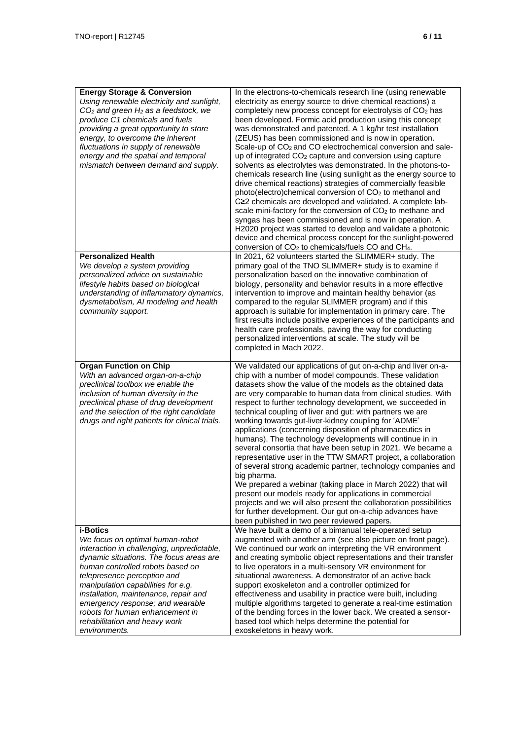| <b>Energy Storage &amp; Conversion</b><br>Using renewable electricity and sunlight,<br>$CO2$ and green $H2$ as a feedstock, we<br>produce C1 chemicals and fuels<br>providing a great opportunity to store<br>energy, to overcome the inherent<br>fluctuations in supply of renewable<br>energy and the spatial and temporal<br>mismatch between demand and supply. | In the electrons-to-chemicals research line (using renewable<br>electricity as energy source to drive chemical reactions) a<br>completely new process concept for electrolysis of CO2 has<br>been developed. Formic acid production using this concept<br>was demonstrated and patented. A 1 kg/hr test installation<br>(ZEUS) has been commissioned and is now in operation.<br>Scale-up of CO <sub>2</sub> and CO electrochemical conversion and sale-<br>up of integrated CO <sub>2</sub> capture and conversion using capture<br>solvents as electrolytes was demonstrated. In the photons-to-<br>chemicals research line (using sunlight as the energy source to<br>drive chemical reactions) strategies of commercially feasible<br>photo(electro)chemical conversion of CO <sub>2</sub> to methanol and<br>C≥2 chemicals are developed and validated. A complete lab-<br>scale mini-factory for the conversion of CO <sub>2</sub> to methane and<br>syngas has been commissioned and is now in operation. A<br>H2020 project was started to develop and validate a photonic<br>device and chemical process concept for the sunlight-powered<br>conversion of CO <sub>2</sub> to chemicals/fuels CO and CH <sub>4</sub> . |
|---------------------------------------------------------------------------------------------------------------------------------------------------------------------------------------------------------------------------------------------------------------------------------------------------------------------------------------------------------------------|---------------------------------------------------------------------------------------------------------------------------------------------------------------------------------------------------------------------------------------------------------------------------------------------------------------------------------------------------------------------------------------------------------------------------------------------------------------------------------------------------------------------------------------------------------------------------------------------------------------------------------------------------------------------------------------------------------------------------------------------------------------------------------------------------------------------------------------------------------------------------------------------------------------------------------------------------------------------------------------------------------------------------------------------------------------------------------------------------------------------------------------------------------------------------------------------------------------------------------|
| <b>Personalized Health</b><br>We develop a system providing<br>personalized advice on sustainable<br>lifestyle habits based on biological                                                                                                                                                                                                                           | In 2021, 62 volunteers started the SLIMMER+ study. The<br>primary goal of the TNO SLIMMER+ study is to examine if<br>personalization based on the innovative combination of<br>biology, personality and behavior results in a more effective                                                                                                                                                                                                                                                                                                                                                                                                                                                                                                                                                                                                                                                                                                                                                                                                                                                                                                                                                                                    |
| understanding of inflammatory dynamics,<br>dysmetabolism, AI modeling and health<br>community support.                                                                                                                                                                                                                                                              | intervention to improve and maintain healthy behavior (as<br>compared to the regular SLIMMER program) and if this<br>approach is suitable for implementation in primary care. The<br>first results include positive experiences of the participants and<br>health care professionals, paving the way for conducting<br>personalized interventions at scale. The study will be<br>completed in Mach 2022.                                                                                                                                                                                                                                                                                                                                                                                                                                                                                                                                                                                                                                                                                                                                                                                                                        |
| <b>Organ Function on Chip</b><br>With an advanced organ-on-a-chip<br>preclinical toolbox we enable the<br>inclusion of human diversity in the<br>preclinical phase of drug development<br>and the selection of the right candidate<br>drugs and right patients for clinical trials.                                                                                 | We validated our applications of gut on-a-chip and liver on-a-<br>chip with a number of model compounds. These validation<br>datasets show the value of the models as the obtained data<br>are very comparable to human data from clinical studies. With<br>respect to further technology development, we succeeded in<br>technical coupling of liver and gut: with partners we are<br>working towards gut-liver-kidney coupling for 'ADME'<br>applications (concerning disposition of pharmaceutics in<br>humans). The technology developments will continue in in<br>several consortia that have been setup in 2021. We became a<br>representative user in the TTW SMART project, a collaboration<br>of several strong academic partner, technology companies and<br>big pharma.<br>We prepared a webinar (taking place in March 2022) that will<br>present our models ready for applications in commercial                                                                                                                                                                                                                                                                                                                   |
|                                                                                                                                                                                                                                                                                                                                                                     | projects and we will also present the collaboration possibilities<br>for further development. Our gut on-a-chip advances have<br>been published in two peer reviewed papers.                                                                                                                                                                                                                                                                                                                                                                                                                                                                                                                                                                                                                                                                                                                                                                                                                                                                                                                                                                                                                                                    |
| <b>i-Botics</b><br>We focus on optimal human-robot<br>interaction in challenging, unpredictable,<br>dynamic situations. The focus areas are<br>human controlled robots based on<br>telepresence perception and                                                                                                                                                      | We have built a demo of a bimanual tele-operated setup<br>augmented with another arm (see also picture on front page).<br>We continued our work on interpreting the VR environment<br>and creating symbolic object representations and their transfer<br>to live operators in a multi-sensory VR environment for<br>situational awareness. A demonstrator of an active back                                                                                                                                                                                                                                                                                                                                                                                                                                                                                                                                                                                                                                                                                                                                                                                                                                                     |
| manipulation capabilities for e.g.<br>installation, maintenance, repair and<br>emergency response; and wearable<br>robots for human enhancement in<br>rehabilitation and heavy work<br>environments.                                                                                                                                                                | support exoskeleton and a controller optimized for<br>effectiveness and usability in practice were built, including<br>multiple algorithms targeted to generate a real-time estimation<br>of the bending forces in the lower back. We created a sensor-<br>based tool which helps determine the potential for<br>exoskeletons in heavy work.                                                                                                                                                                                                                                                                                                                                                                                                                                                                                                                                                                                                                                                                                                                                                                                                                                                                                    |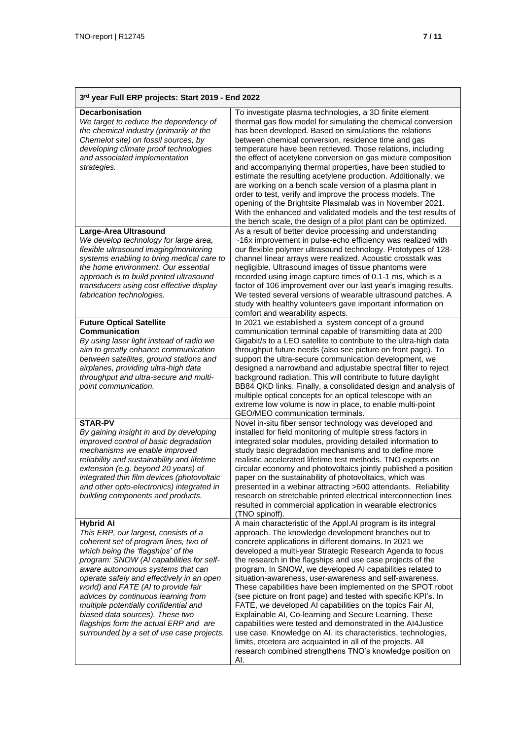| 3rd year Full ERP projects: Start 2019 - End 2022                                                                                                                                                                                                                                                                                                                                                                                                                                                                     |                                                                                                                                                                                                                                                                                                                                                                                                                                                                                                                                                                                                                                                                                                                                                                                                                                                                                                                                                            |
|-----------------------------------------------------------------------------------------------------------------------------------------------------------------------------------------------------------------------------------------------------------------------------------------------------------------------------------------------------------------------------------------------------------------------------------------------------------------------------------------------------------------------|------------------------------------------------------------------------------------------------------------------------------------------------------------------------------------------------------------------------------------------------------------------------------------------------------------------------------------------------------------------------------------------------------------------------------------------------------------------------------------------------------------------------------------------------------------------------------------------------------------------------------------------------------------------------------------------------------------------------------------------------------------------------------------------------------------------------------------------------------------------------------------------------------------------------------------------------------------|
| Decarbonisation<br>We target to reduce the dependency of<br>the chemical industry (primarily at the<br>Chemelot site) on fossil sources, by<br>developing climate proof technologies<br>and associated implementation<br>strategies.                                                                                                                                                                                                                                                                                  | To investigate plasma technologies, a 3D finite element<br>thermal gas flow model for simulating the chemical conversion<br>has been developed. Based on simulations the relations<br>between chemical conversion, residence time and gas<br>temperature have been retrieved. Those relations, including<br>the effect of acetylene conversion on gas mixture composition<br>and accompanying thermal properties, have been studied to<br>estimate the resulting acetylene production. Additionally, we<br>are working on a bench scale version of a plasma plant in<br>order to test, verify and improve the process models. The<br>opening of the Brightsite Plasmalab was in November 2021.<br>With the enhanced and validated models and the test results of<br>the bench scale, the design of a pilot plant can be optimized.                                                                                                                         |
| Large-Area Ultrasound<br>We develop technology for large area,<br>flexible ultrasound imaging/monitoring<br>systems enabling to bring medical care to<br>the home environment. Our essential<br>approach is to build printed ultrasound<br>transducers using cost effective display<br>fabrication technologies.                                                                                                                                                                                                      | As a result of better device processing and understanding<br>~16x improvement in pulse-echo efficiency was realized with<br>our flexible polymer ultrasound technology. Prototypes of 128-<br>channel linear arrays were realized. Acoustic crosstalk was<br>negligible. Ultrasound images of tissue phantoms were<br>recorded using image capture times of 0.1-1 ms, which is a<br>factor of 106 improvement over our last year's imaging results.<br>We tested several versions of wearable ultrasound patches. A<br>study with healthy volunteers gave important information on<br>comfort and wearability aspects.                                                                                                                                                                                                                                                                                                                                     |
| <b>Future Optical Satellite</b><br>Communication<br>By using laser light instead of radio we<br>aim to greatly enhance communication<br>between satellites, ground stations and<br>airplanes, providing ultra-high data<br>throughput and ultra-secure and multi-<br>point communication.                                                                                                                                                                                                                             | In 2021 we established a system concept of a ground<br>communication terminal capable of transmitting data at 200<br>Gigabit/s to a LEO satellite to contribute to the ultra-high data<br>throughput future needs (also see picture on front page). To<br>support the ultra-secure communication development, we<br>designed a narrowband and adjustable spectral filter to reject<br>background radiation. This will contribute to future daylight<br>BB84 QKD links. Finally, a consolidated design and analysis of<br>multiple optical concepts for an optical telescope with an<br>extreme low volume is now in place, to enable multi-point<br>GEO/MEO communication terminals.                                                                                                                                                                                                                                                                       |
| <b>STAR-PV</b><br>By gaining insight in and by developing<br>improved control of basic degradation<br>mechanisms we enable improved<br>reliability and sustainability and lifetime<br>extension (e.g. beyond 20 years) of<br>integrated thin film devices (photovoltaic<br>and other opto-electronics) integrated in<br>building components and products.                                                                                                                                                             | Novel in-situ fiber sensor technology was developed and<br>installed for field monitoring of multiple stress factors in<br>integrated solar modules, providing detailed information to<br>study basic degradation mechanisms and to define more<br>realistic accelerated lifetime test methods. TNO experts on<br>circular economy and photovoltaics jointly published a position<br>paper on the sustainability of photovoltaics, which was<br>presented in a webinar attracting >600 attendants. Reliability<br>research on stretchable printed electrical interconnection lines<br>resulted in commercial application in wearable electronics<br>(TNO spinoff).                                                                                                                                                                                                                                                                                         |
| <b>Hybrid AI</b><br>This ERP, our largest, consists of a<br>coherent set of program lines, two of<br>which being the 'flagships' of the<br>program: SNOW (AI capabilities for self-<br>aware autonomous systems that can<br>operate safely and effectively in an open<br>world) and FATE (AI to provide fair<br>advices by continuous learning from<br>multiple potentially confidential and<br>biased data sources). These two<br>flagships form the actual ERP and are<br>surrounded by a set of use case projects. | A main characteristic of the Appl.AI program is its integral<br>approach. The knowledge development branches out to<br>concrete applications in different domains. In 2021 we<br>developed a multi-year Strategic Research Agenda to focus<br>the research in the flagships and use case projects of the<br>program. In SNOW, we developed AI capabilities related to<br>situation-awareness, user-awareness and self-awareness.<br>These capabilities have been implemented on the SPOT robot<br>(see picture on front page) and tested with specific KPI's. In<br>FATE, we developed AI capabilities on the topics Fair AI,<br>Explainable AI, Co-learning and Secure Learning. These<br>capabilities were tested and demonstrated in the AI4Justice<br>use case. Knowledge on AI, its characteristics, technologies,<br>limits, etcetera are acquainted in all of the projects. All<br>research combined strengthens TNO's knowledge position on<br>AI. |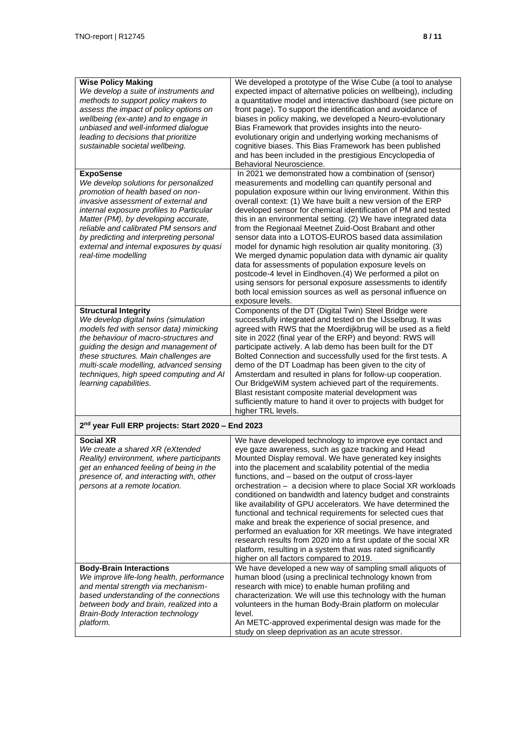| <b>Wise Policy Making</b><br>We develop a suite of instruments and<br>methods to support policy makers to<br>assess the impact of policy options on<br>wellbeing (ex-ante) and to engage in<br>unbiased and well-informed dialogue<br>leading to decisions that prioritize<br>sustainable societal wellbeing.                                                                     | We developed a prototype of the Wise Cube (a tool to analyse<br>expected impact of alternative policies on wellbeing), including<br>a quantitative model and interactive dashboard (see picture on<br>front page). To support the identification and avoidance of<br>biases in policy making, we developed a Neuro-evolutionary<br>Bias Framework that provides insights into the neuro-<br>evolutionary origin and underlying working mechanisms of<br>cognitive biases. This Bias Framework has been published<br>and has been included in the prestigious Encyclopedia of<br>Behavioral Neuroscience.                                                                                                                                                                                                                                                                                                     |
|-----------------------------------------------------------------------------------------------------------------------------------------------------------------------------------------------------------------------------------------------------------------------------------------------------------------------------------------------------------------------------------|--------------------------------------------------------------------------------------------------------------------------------------------------------------------------------------------------------------------------------------------------------------------------------------------------------------------------------------------------------------------------------------------------------------------------------------------------------------------------------------------------------------------------------------------------------------------------------------------------------------------------------------------------------------------------------------------------------------------------------------------------------------------------------------------------------------------------------------------------------------------------------------------------------------|
| <b>ExpoSense</b><br>We develop solutions for personalized<br>promotion of health based on non-<br>invasive assessment of external and<br>internal exposure profiles to Particular<br>Matter (PM), by developing accurate,<br>reliable and calibrated PM sensors and<br>by predicting and interpreting personal<br>external and internal exposures by quasi<br>real-time modelling | In 2021 we demonstrated how a combination of (sensor)<br>measurements and modelling can quantify personal and<br>population exposure within our living environment. Within this<br>overall context: (1) We have built a new version of the ERP<br>developed sensor for chemical identification of PM and tested<br>this in an environmental setting. (2) We have integrated data<br>from the Regionaal Meetnet Zuid-Oost Brabant and other<br>sensor data into a LOTOS-EUROS based data assimilation<br>model for dynamic high resolution air quality monitoring. (3)<br>We merged dynamic population data with dynamic air quality<br>data for assessments of population exposure levels on<br>postcode-4 level in Eindhoven.(4) We performed a pilot on<br>using sensors for personal exposure assessments to identify<br>both local emission sources as well as personal influence on<br>exposure levels. |
| <b>Structural Integrity</b><br>We develop digital twins (simulation<br>models fed with sensor data) mimicking<br>the behaviour of macro-structures and<br>guiding the design and management of<br>these structures. Main challenges are<br>multi-scale modelling, advanced sensing<br>techniques, high speed computing and AI<br>learning capabilities.                           | Components of the DT (Digital Twin) Steel Bridge were<br>successfully integrated and tested on the IJsselbrug. It was<br>agreed with RWS that the Moerdijkbrug will be used as a field<br>site in 2022 (final year of the ERP) and beyond: RWS will<br>participate actively. A lab demo has been built for the DT<br>Bolted Connection and successfully used for the first tests. A<br>demo of the DT Loadmap has been given to the city of<br>Amsterdam and resulted in plans for follow-up cooperation.<br>Our BridgeWiM system achieved part of the requirements.<br>Blast resistant composite material development was<br>sufficiently mature to hand it over to projects with budget for<br>higher TRL levels.                                                                                                                                                                                          |
| 2 <sup>nd</sup> year Full ERP projects: Start 2020 - End 2023                                                                                                                                                                                                                                                                                                                     |                                                                                                                                                                                                                                                                                                                                                                                                                                                                                                                                                                                                                                                                                                                                                                                                                                                                                                              |
| <b>Social XR</b><br>We create a shared XR (eXtended<br>Reality) environment, where participants<br>get an enhanced feeling of being in the<br>presence of, and interacting with, other<br>persons at a remote location.                                                                                                                                                           | We have developed technology to improve eye contact and<br>eye gaze awareness, such as gaze tracking and Head<br>Mounted Display removal. We have generated key insights<br>into the placement and scalability potential of the media<br>functions, and - based on the output of cross-layer<br>orchestration – a decision where to place Social XR workloads<br>conditioned on bandwidth and latency budget and constraints<br>like availability of GPU accelerators. We have determined the<br>functional and technical requirements for selected cues that<br>make and break the experience of social presence, and<br>performed an evaluation for XR meetings. We have integrated<br>research results from 2020 into a first update of the social XR<br>platform, resulting in a system that was rated significantly<br>higher on all factors compared to 2019.                                          |
| <b>Body-Brain Interactions</b><br>We improve life-long health, performance<br>and mental strength via mechanism-<br>based understanding of the connections<br>between body and brain, realized into a<br>Brain-Body Interaction technology<br>platform.                                                                                                                           | We have developed a new way of sampling small aliquots of<br>human blood (using a preclinical technology known from<br>research with mice) to enable human profiling and<br>characterization. We will use this technology with the human<br>volunteers in the human Body-Brain platform on molecular<br>level.<br>An METC-approved experimental design was made for the<br>study on sleep deprivation as an acute stressor.                                                                                                                                                                                                                                                                                                                                                                                                                                                                                  |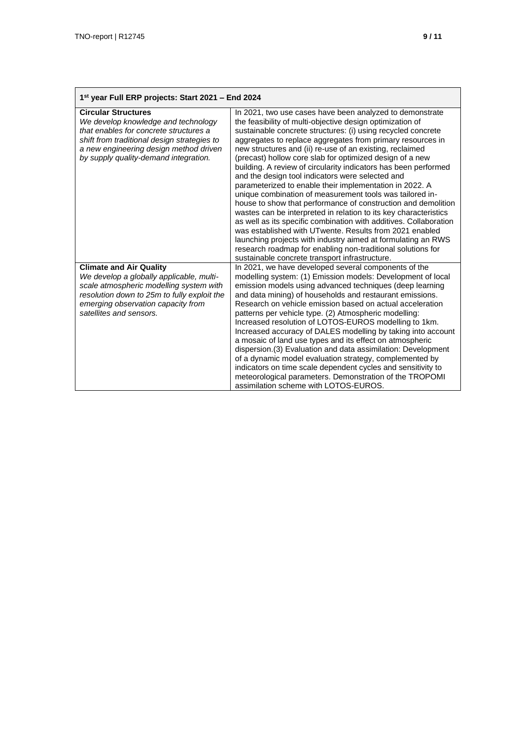| 1st year Full ERP projects: Start 2021 - End 2024                                                                                                                                                                                             |                                                                                                                                                                                                                                                                                                                                                                                                                                                                                                                                                                                                                                                                                                                                                                                                                                                                                                                                                                                                                                                                                 |
|-----------------------------------------------------------------------------------------------------------------------------------------------------------------------------------------------------------------------------------------------|---------------------------------------------------------------------------------------------------------------------------------------------------------------------------------------------------------------------------------------------------------------------------------------------------------------------------------------------------------------------------------------------------------------------------------------------------------------------------------------------------------------------------------------------------------------------------------------------------------------------------------------------------------------------------------------------------------------------------------------------------------------------------------------------------------------------------------------------------------------------------------------------------------------------------------------------------------------------------------------------------------------------------------------------------------------------------------|
| <b>Circular Structures</b><br>We develop knowledge and technology<br>that enables for concrete structures a<br>shift from traditional design strategies to<br>a new engineering design method driven<br>by supply quality-demand integration. | In 2021, two use cases have been analyzed to demonstrate<br>the feasibility of multi-objective design optimization of<br>sustainable concrete structures: (i) using recycled concrete<br>aggregates to replace aggregates from primary resources in<br>new structures and (ii) re-use of an existing, reclaimed<br>(precast) hollow core slab for optimized design of a new<br>building. A review of circularity indicators has been performed<br>and the design tool indicators were selected and<br>parameterized to enable their implementation in 2022. A<br>unique combination of measurement tools was tailored in-<br>house to show that performance of construction and demolition<br>wastes can be interpreted in relation to its key characteristics<br>as well as its specific combination with additives. Collaboration<br>was established with UTwente. Results from 2021 enabled<br>launching projects with industry aimed at formulating an RWS<br>research roadmap for enabling non-traditional solutions for<br>sustainable concrete transport infrastructure. |
| <b>Climate and Air Quality</b><br>We develop a globally applicable, multi-<br>scale atmospheric modelling system with<br>resolution down to 25m to fully exploit the<br>emerging observation capacity from<br>satellites and sensors.         | In 2021, we have developed several components of the<br>modelling system: (1) Emission models: Development of local<br>emission models using advanced techniques (deep learning<br>and data mining) of households and restaurant emissions.<br>Research on vehicle emission based on actual acceleration<br>patterns per vehicle type. (2) Atmospheric modelling:<br>Increased resolution of LOTOS-EUROS modelling to 1km.<br>Increased accuracy of DALES modelling by taking into account<br>a mosaic of land use types and its effect on atmospheric<br>dispersion. (3) Evaluation and data assimilation: Development<br>of a dynamic model evaluation strategy, complemented by<br>indicators on time scale dependent cycles and sensitivity to<br>meteorological parameters. Demonstration of the TROPOMI<br>assimilation scheme with LOTOS-EUROS.                                                                                                                                                                                                                          |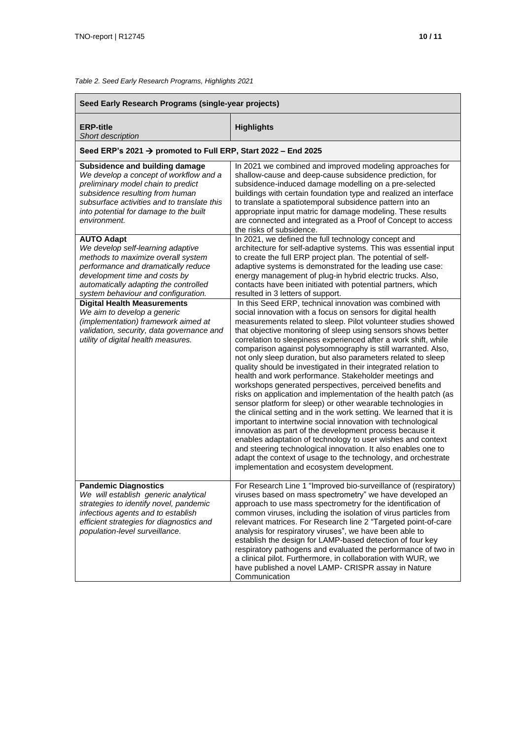#### *Table 2. Seed Early Research Programs, Highlights 2021*

| Seed Early Research Programs (single-year projects)                                                                                                                                                                                                        |                                                                                                                                                                                                                                                                                                                                                                                                                                                                                                                                                                                                                                                                                                                                                                                                                                                                                                                                                                                                                                                                                                                                                                                                                                           |
|------------------------------------------------------------------------------------------------------------------------------------------------------------------------------------------------------------------------------------------------------------|-------------------------------------------------------------------------------------------------------------------------------------------------------------------------------------------------------------------------------------------------------------------------------------------------------------------------------------------------------------------------------------------------------------------------------------------------------------------------------------------------------------------------------------------------------------------------------------------------------------------------------------------------------------------------------------------------------------------------------------------------------------------------------------------------------------------------------------------------------------------------------------------------------------------------------------------------------------------------------------------------------------------------------------------------------------------------------------------------------------------------------------------------------------------------------------------------------------------------------------------|
| <b>ERP-title</b><br>Short description                                                                                                                                                                                                                      | <b>Highlights</b>                                                                                                                                                                                                                                                                                                                                                                                                                                                                                                                                                                                                                                                                                                                                                                                                                                                                                                                                                                                                                                                                                                                                                                                                                         |
| Seed ERP's 2021 → promoted to Full ERP, Start 2022 - End 2025                                                                                                                                                                                              |                                                                                                                                                                                                                                                                                                                                                                                                                                                                                                                                                                                                                                                                                                                                                                                                                                                                                                                                                                                                                                                                                                                                                                                                                                           |
| Subsidence and building damage<br>We develop a concept of workflow and a<br>preliminary model chain to predict<br>subsidence resulting from human<br>subsurface activities and to translate this<br>into potential for damage to the built<br>environment. | In 2021 we combined and improved modeling approaches for<br>shallow-cause and deep-cause subsidence prediction, for<br>subsidence-induced damage modelling on a pre-selected<br>buildings with certain foundation type and realized an interface<br>to translate a spatiotemporal subsidence pattern into an<br>appropriate input matric for damage modeling. These results<br>are connected and integrated as a Proof of Concept to access<br>the risks of subsidence.                                                                                                                                                                                                                                                                                                                                                                                                                                                                                                                                                                                                                                                                                                                                                                   |
| <b>AUTO Adapt</b><br>We develop self-learning adaptive<br>methods to maximize overall system<br>performance and dramatically reduce<br>development time and costs by<br>automatically adapting the controlled<br>system behaviour and configuration.       | In 2021, we defined the full technology concept and<br>architecture for self-adaptive systems. This was essential input<br>to create the full ERP project plan. The potential of self-<br>adaptive systems is demonstrated for the leading use case:<br>energy management of plug-in hybrid electric trucks. Also,<br>contacts have been initiated with potential partners, which<br>resulted in 3 letters of support.                                                                                                                                                                                                                                                                                                                                                                                                                                                                                                                                                                                                                                                                                                                                                                                                                    |
| <b>Digital Health Measurements</b><br>We aim to develop a generic<br>(implementation) framework aimed at<br>validation, security, data governance and<br>utility of digital health measures.                                                               | In this Seed ERP, technical innovation was combined with<br>social innovation with a focus on sensors for digital health<br>measurements related to sleep. Pilot volunteer studies showed<br>that objective monitoring of sleep using sensors shows better<br>correlation to sleepiness experienced after a work shift, while<br>comparison against polysomnography is still warranted. Also,<br>not only sleep duration, but also parameters related to sleep<br>quality should be investigated in their integrated relation to<br>health and work performance. Stakeholder meetings and<br>workshops generated perspectives, perceived benefits and<br>risks on application and implementation of the health patch (as<br>sensor platform for sleep) or other wearable technologies in<br>the clinical setting and in the work setting. We learned that it is<br>important to intertwine social innovation with technological<br>innovation as part of the development process because it<br>enables adaptation of technology to user wishes and context<br>and steering technological innovation. It also enables one to<br>adapt the context of usage to the technology, and orchestrate<br>implementation and ecosystem development. |
| <b>Pandemic Diagnostics</b><br>We will establish generic analytical<br>strategies to identify novel, pandemic<br>infectious agents and to establish<br>efficient strategies for diagnostics and<br>population-level surveillance.                          | For Research Line 1 "Improved bio-surveillance of (respiratory)<br>viruses based on mass spectrometry" we have developed an<br>approach to use mass spectrometry for the identification of<br>common viruses, including the isolation of virus particles from<br>relevant matrices. For Research line 2 "Targeted point-of-care<br>analysis for respiratory viruses", we have been able to<br>establish the design for LAMP-based detection of four key<br>respiratory pathogens and evaluated the performance of two in<br>a clinical pilot. Furthermore, in collaboration with WUR, we<br>have published a novel LAMP- CRISPR assay in Nature<br>Communication                                                                                                                                                                                                                                                                                                                                                                                                                                                                                                                                                                          |